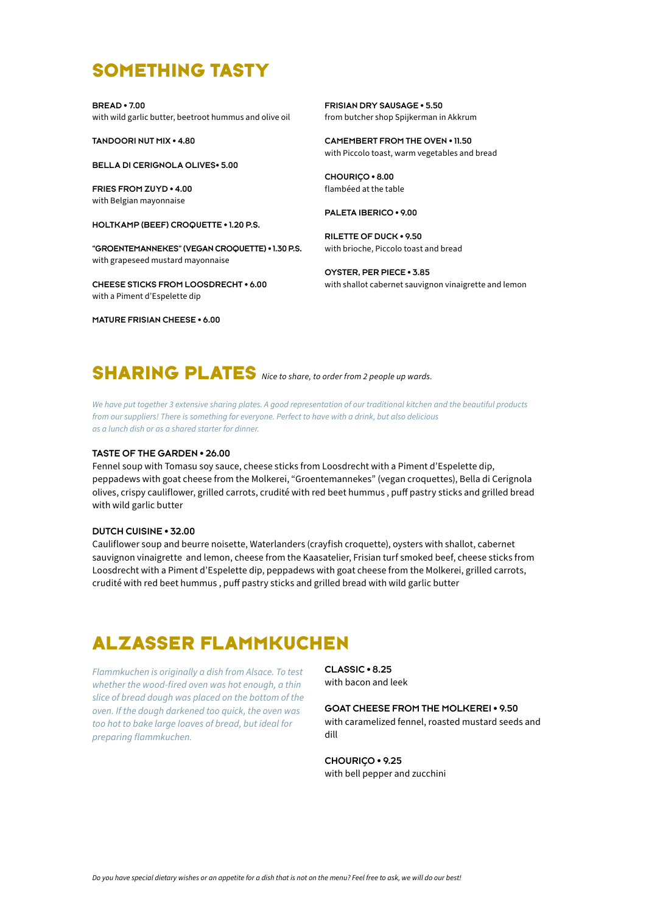# **SOMETHING TASTY**

**BREAD • 7.00**  with wild garlic butter, beetroot hummus and olive oil

**TANDOORI NUT MIX • 4.80**

**BELLA DI CERIGNOLA OLIVES• 5.00**

**FRIES FROM ZUYD • 4.00**  with Belgian mayonnaise

**HOLTKAMP (BEEF) CROQUETTE • 1.20 P.S.**

**"GROENTEMANNEKES" (VEGAN CROQUETTE) • 1.30 P.S.** with grapeseed mustard mayonnaise

**CHEESE STICKS FROM LOOSDRECHT • 6.00** with a Piment d'Espelette dip

**MATURE FRISIAN CHEESE • 6.00**

**FRISIAN DRY SAUSAGE • 5.50**  from butcher shop Spijkerman in Akkrum

**CAMEMBERT FROM THE OVEN • 11.50**  with Piccolo toast, warm vegetables and bread

**CHOURIÇO • 8.00** flambéed at the table

**PALETA IBERICO • 9.00**

**RILETTE OF DUCK • 9.50**  with brioche, Piccolo toast and bread

**OYSTER, PER PIECE • 3.85**  with shallot cabernet sauvignon vinaigrette and lemon

# **SHARING PLATES** *Nice to share, to order from 2 people up wards.*

*We have put together 3 extensive sharing plates. A good representation of our traditional kitchen and the beautiful products from our suppliers! There is something for everyone. Perfect to have with a drink, but also delicious as a lunch dish or as a shared starter for dinner.* 

#### **TASTE OF THE GARDEN • 26.00**

Fennel soup with Tomasu soy sauce, cheese sticks from Loosdrecht with a Piment d'Espelette dip, peppadews with goat cheese from the Molkerei, "Groentemannekes" (vegan croquettes), Bella di Cerignola olives, crispy cauliflower, grilled carrots, crudité with red beet hummus , puff pastry sticks and grilled bread with wild garlic butter

#### **DUTCH CUISINE • 32.00**

Cauliflower soup and beurre noisette, Waterlanders (crayfish croquette), oysters with shallot, cabernet sauvignon vinaigrette and lemon, cheese from the Kaasatelier, Frisian turf smoked beef, cheese sticks from Loosdrecht with a Piment d'Espelette dip, peppadews with goat cheese from the Molkerei, grilled carrots, crudité with red beet hummus , puff pastry sticks and grilled bread with wild garlic butter

# **ALZASSER FLAMMKUCHEN**

*Flammkuchen is originally a dish from Alsace. To test whether the wood-fired oven was hot enough, a thin slice of bread dough was placed on the bottom of the oven. If the dough darkened too quick, the oven was too hot to bake large loaves of bread, but ideal for preparing flammkuchen.*

**CLASSIC • 8.25**  with bacon and leek

#### **GOAT CHEESE FROM THE MOLKEREI • 9.50**

with caramelized fennel, roasted mustard seeds and dill

**CHOURIÇO • 9.25** with bell pepper and zucchini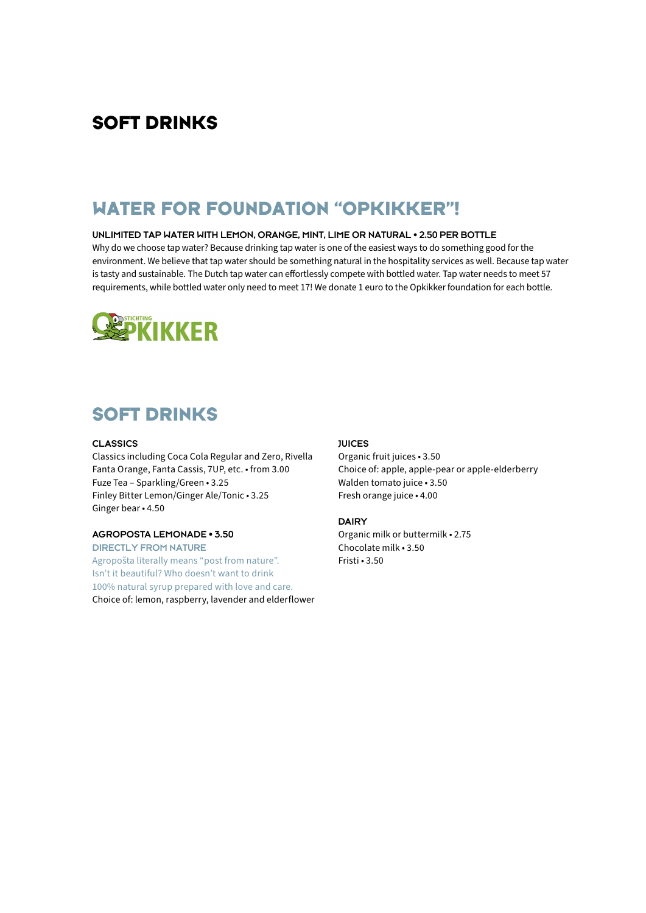## **SOFT DRINKS**

# **WATER FOR FOUNDATION "OPKIKKER"!**

#### **UNLIMITED TAP WATER WITH LEMON, ORANGE, MINT, LIME OR NATURAL • 2.50 PER BOTTLE**

Why do we choose tap water? Because drinking tap water is one of the easiest ways to do something good for the environment. We believe that tap water should be something natural in the hospitality services as well. Because tap water is tasty and sustainable. The Dutch tap water can effortlessly compete with bottled water. Tap water needs to meet 57 requirements, while bottled water only need to meet 17! We donate 1 euro to the Opkikker foundation for each bottle.



### **SOFT DRINKS**

#### **CLASSICS**

Classics including Coca Cola Regular and Zero, Rivella Fanta Orange, Fanta Cassis, 7UP, etc. • from 3.00 Fuze Tea – Sparkling/Green • 3.25 Finley Bitter Lemon/Ginger Ale/Tonic • 3.25 Ginger bear • 4.50

#### **AGROPOSTA LEMONADE • 3.50**

**DIRECTLY FROM NATURE** Agropošta literally means "post from nature". Isn't it beautiful? Who doesn't want to drink 100% natural syrup prepared with love and care. Choice of: lemon, raspberry, lavender and elderflower

#### **JUICES**

Organic fruit juices • 3.50 Choice of: apple, apple-pear or apple-elderberry Walden tomato juice • 3.50 Fresh orange juice • 4.00

#### **DAIRY**

Organic milk or buttermilk • 2.75 Chocolate milk • 3.50 Fristi • 3.50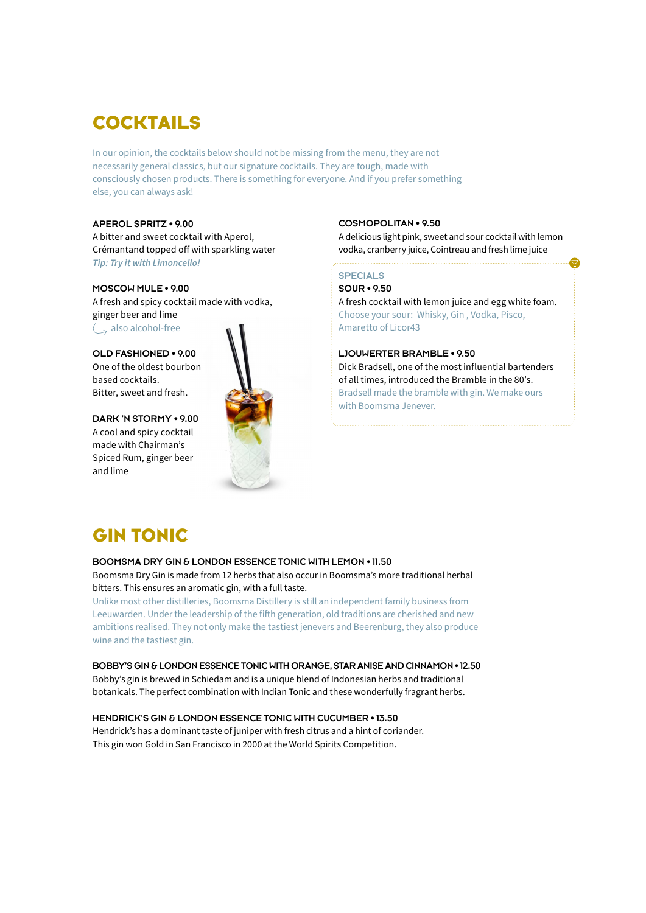# **COCKTAILS**

In our opinion, the cocktails below should not be missing from the menu, they are not necessarily general classics, but our signature cocktails. They are tough, made with consciously chosen products. There is something for everyone. And if you prefer something else, you can always ask!

#### **APEROL SPRITZ • 9.00**

A bitter and sweet cocktail with Aperol, Crémantand topped off with sparkling water *Tip: Try it with Limoncello!*

#### **MOSCOW MULE • 9.00**

A fresh and spicy cocktail made with vodka, ginger beer and lime  $\langle \rangle$  also alcohol-free

**OLD FASHIONED • 9.00** One of the oldest bourbon based cocktails. Bitter, sweet and fresh.

**DARK 'N STORMY • 9.00** A cool and spicy cocktail made with Chairman's Spiced Rum, ginger beer and lime



#### **COSMOPOLITAN • 9.50**

A delicious light pink, sweet and sour cocktail with lemon vodka, cranberry juice, Cointreau and fresh lime juice

#### **SPECIALS**

**SOUR • 9.50** A fresh cocktail with lemon juice and egg white foam. Choose your sour: Whisky, Gin , Vodka, Pisco, Amaretto of Licor43

#### **LJOUWERTER BRAMBLE • 9.50**

Dick Bradsell, one of the most influential bartenders of all times, introduced the Bramble in the 80's. Bradsell made the bramble with gin. We make ours with Boomsma Jenever.

# **GIN TONIC**

#### **BOOMSMA DRY GIN & LONDON ESSENCE TONIC WITH LEMON • 11.50** Boomsma Dry Gin is made from 12 herbs that also occur in Boomsma's more traditional herbal

bitters. This ensures an aromatic gin, with a full taste.

Unlike most other distilleries, Boomsma Distillery is still an independent family business from Leeuwarden. Under the leadership of the fifth generation, old traditions are cherished and new ambitions realised. They not only make the tastiest jenevers and Beerenburg, they also produce wine and the tastiest gin.

**BOBBY'S GIN & LONDON ESSENCE TONIC WITH ORANGE, STAR ANISE AND CINNAMON • 12.50** Bobby's gin is brewed in Schiedam and is a unique blend of Indonesian herbs and traditional botanicals. The perfect combination with Indian Tonic and these wonderfully fragrant herbs.

#### **HENDRICK'S GIN & LONDON ESSENCE TONIC WITH CUCUMBER • 13.50**

Hendrick's has a dominant taste of juniper with fresh citrus and a hint of coriander. This gin won Gold in San Francisco in 2000 at the World Spirits Competition.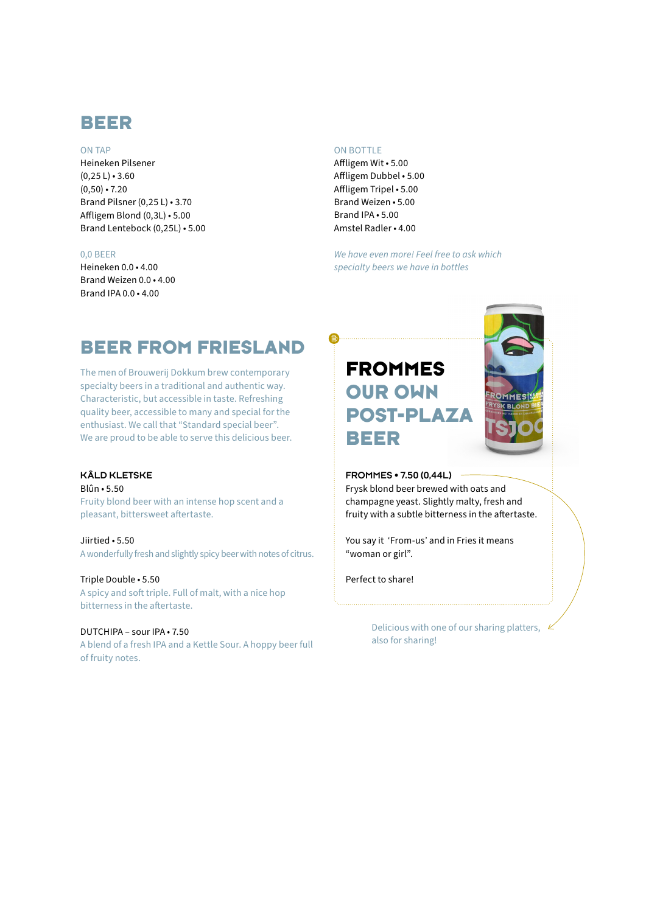### **BEER**

#### ON TAP

Heineken Pilsener  $(0, 25 L) \cdot 3.60$  $(0,50) \cdot 7.20$ Brand Pilsner (0,25 L) • 3.70 Affligem Blond (0,3L) • 5.00 Brand Lentebock (0,25L) • 5.00

#### 0,0 BEER

Heineken 0.0 • 4.00 Brand Weizen 0.0 • 4.00 Brand IPA 0.0 $\cdot$  4.00

#### ON BOTTLE

 $\bigoplus$ 

Affligem Wit • 5.00 Affligem Dubbel • 5.00 Affligem Tripel • 5.00 Brand Weizen • 5.00 Brand IPA • 5.00 Amstel Radler • 4.00

*We have even more! Feel free to ask which specialty beers we have in bottles* 

# **BEER FROM FRIESLAND**

The men of Brouwerij Dokkum brew contemporary specialty beers in a traditional and authentic way. Characteristic, but accessible in taste. Refreshing quality beer, accessible to many and special for the enthusiast. We call that "Standard special beer". We are proud to be able to serve this delicious beer.

#### **KÂLD KLETSKE**

Blûn • 5.50 Fruity blond beer with an intense hop scent and a pleasant, bittersweet aftertaste.

Jiirtied • 5.50 A wonderfully fresh and slightly spicy beer with notes of citrus.

Triple Double • 5.50 A spicy and soft triple. Full of malt, with a nice hop bitterness in the aftertaste.

### DUTCHIPA – sour IPA • 7.50

A blend of a fresh IPA and a Kettle Sour. A hoppy beer full of fruity notes.

# **FROMMES OUR OWN POST-PLAZA BEER**



#### **FROMMES • 7.50 (0,44L)**

Frysk blond beer brewed with oats and champagne yeast. Slightly malty, fresh and fruity with a subtle bitterness in the aftertaste.

You say it 'From-us' and in Fries it means "woman or girl".

Perfect to share!

Delicious with one of our sharing platters, also for sharing!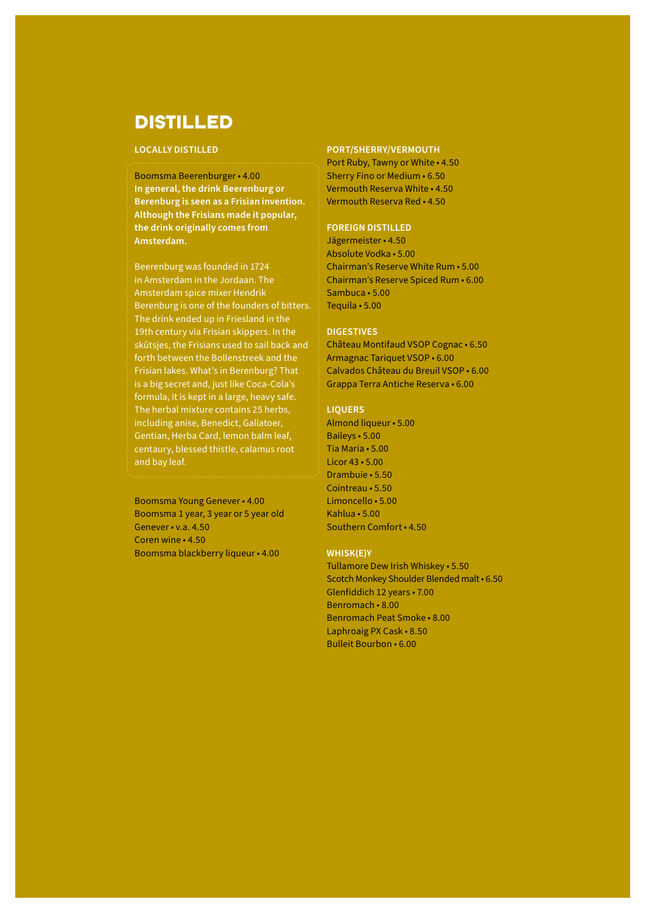### **DISTILLED**

#### **LOCALLY DISTILLED**

Boomsma Beerenburger • 4.00 **In general, the drink Beerenburg or Berenburg is seen as a Frisian invention. Although the Frisians made it popular, the drink originally comes from Amsterdam.**

Beerenburg was founded in 1724 in Amsterdam in the Jordaan. The Amsterdam spice mixer Hendrik Berenburg is one of the founders of bitters. The drink ended up in Friesland in the 19th century via Frisian skippers. In the skûtsjes, the Frisians used to sail back and forth between the Bollenstreek and the Frisian lakes. What's in Berenburg? That is a big secret and, just like Coca-Cola's formula, it is kept in a large, heavy safe. The herbal mixture contains 25 herbs, including anise, Benedict, Galiatoer, Gentian, Herba Card, lemon balm leaf, centaury, blessed thistle, calamus root and bay leaf.

Boomsma Young Genever • 4.00 Boomsma 1 year, 3 year or 5 year old Genever • v.a. 4.50 Coren wine • 4.50 Boomsma blackberry liqueur • 4.00

#### **PORT/SHERRY/VERMOUTH**

Port Ruby, Tawny or White • 4.50 Sherry Fino or Medium • 6.50 Vermouth Reserva White • 4.50 Vermouth Reserva Red • 4.50

#### **FOREIGN DISTILLED**

Jägermeister • 4.50 Absolute Vodka • 5.00 Chairman's Reserve White Rum • 5.00 Chairman's Reserve Spiced Rum • 6.00 Sambuca • 5.00 Tequila • 5.00

#### **DIGESTIVES**

Château Montifaud VSOP Cognac • 6.50 Armagnac Tariquet VSOP • 6.00 Calvados Château du Breuil VSOP • 6.00 Grappa Terra Antiche Reserva • 6.00

#### **LIQUERS**

Almond liqueur • 5.00 Baileys • 5.00 Tia Maria • 5.00 Licor 43 • 5.00 Drambuie • 5.50 Cointreau • 5.50 Limoncello • 5.00 Kahlua • 5.00 Southern Comfort • 4.50

#### **WHISK(E)Y**

Tullamore Dew Irish Whiskey • 5.50 Scotch Monkey Shoulder Blended malt • 6.50 Glenfiddich 12 years • 7.00 Benromach • 8.00 Benromach Peat Smoke • 8.00 Laphroaig PX Cask • 8.50 Bulleit Bourbon • 6.00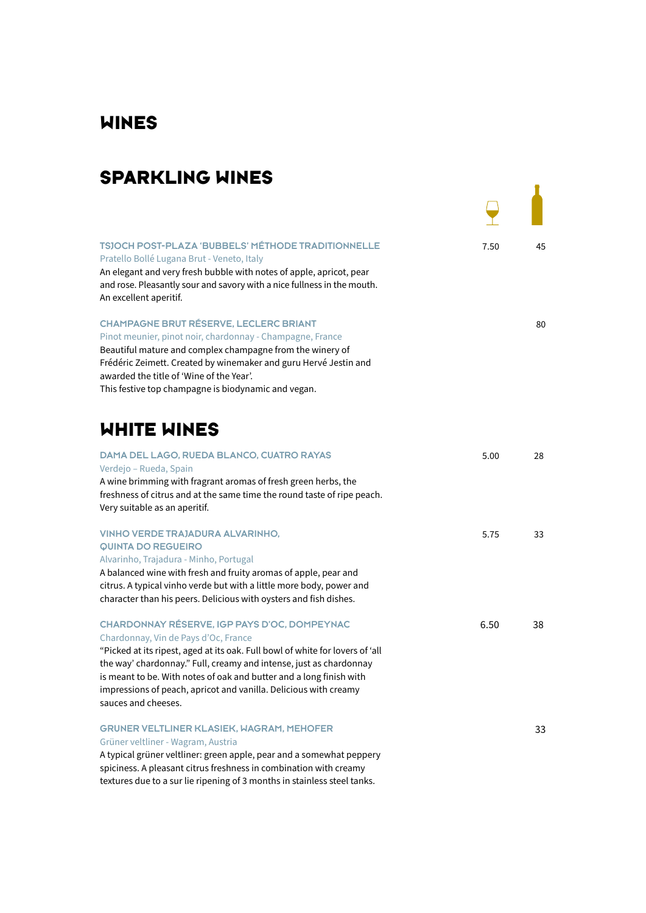# **WINES**

# **SPARKLING WINES**

| <b>TSJOCH POST-PLAZA 'BUBBELS' MÉTHODE TRADITIONNELLE</b><br>Pratello Bollé Lugana Brut - Veneto, Italy<br>An elegant and very fresh bubble with notes of apple, apricot, pear<br>and rose. Pleasantly sour and savory with a nice fullness in the mouth.<br>An excellent aperitif.                                                                                                                           | 7.50 | 45 |
|---------------------------------------------------------------------------------------------------------------------------------------------------------------------------------------------------------------------------------------------------------------------------------------------------------------------------------------------------------------------------------------------------------------|------|----|
| <b>CHAMPAGNE BRUT RÉSERVE, LECLERC BRIANT</b><br>Pinot meunier, pinot noir, chardonnay - Champagne, France<br>Beautiful mature and complex champagne from the winery of<br>Frédéric Zeimett. Created by winemaker and guru Hervé Jestin and<br>awarded the title of 'Wine of the Year'.<br>This festive top champagne is biodynamic and vegan.                                                                |      | 80 |
| WHITE WINES                                                                                                                                                                                                                                                                                                                                                                                                   |      |    |
| DAMA DEL LAGO, RUEDA BLANCO, CUATRO RAYAS<br>Verdejo - Rueda, Spain<br>A wine brimming with fragrant aromas of fresh green herbs, the<br>freshness of citrus and at the same time the round taste of ripe peach.<br>Very suitable as an aperitif.                                                                                                                                                             | 5.00 | 28 |
| <b>VINHO VERDE TRAJADURA ALVARINHO,</b><br><b>QUINTA DO REGUEIRO</b><br>Alvarinho, Trajadura - Minho, Portugal<br>A balanced wine with fresh and fruity aromas of apple, pear and<br>citrus. A typical vinho verde but with a little more body, power and<br>character than his peers. Delicious with oysters and fish dishes.                                                                                | 5.75 | 33 |
| CHARDONNAY RÉSERVE, IGP PAYS D'OC, DOMPEYNAC<br>Chardonnay, Vin de Pays d'Oc, France<br>"Picked at its ripest, aged at its oak. Full bowl of white for lovers of 'all<br>the way' chardonnay." Full, creamy and intense, just as chardonnay<br>is meant to be. With notes of oak and butter and a long finish with<br>impressions of peach, apricot and vanilla. Delicious with creamy<br>sauces and cheeses. | 6.50 | 38 |
| <b>GRUNER VELTLINER KLASIEK, WAGRAM, MEHOFER</b><br>Grüner veltliner - Wagram, Austria<br>A typical grüner veltliner: green apple, pear and a somewhat peppery<br>spiciness. A pleasant citrus freshness in combination with creamy<br>textures due to a sur lie ripening of 3 months in stainless steel tanks.                                                                                               |      | 33 |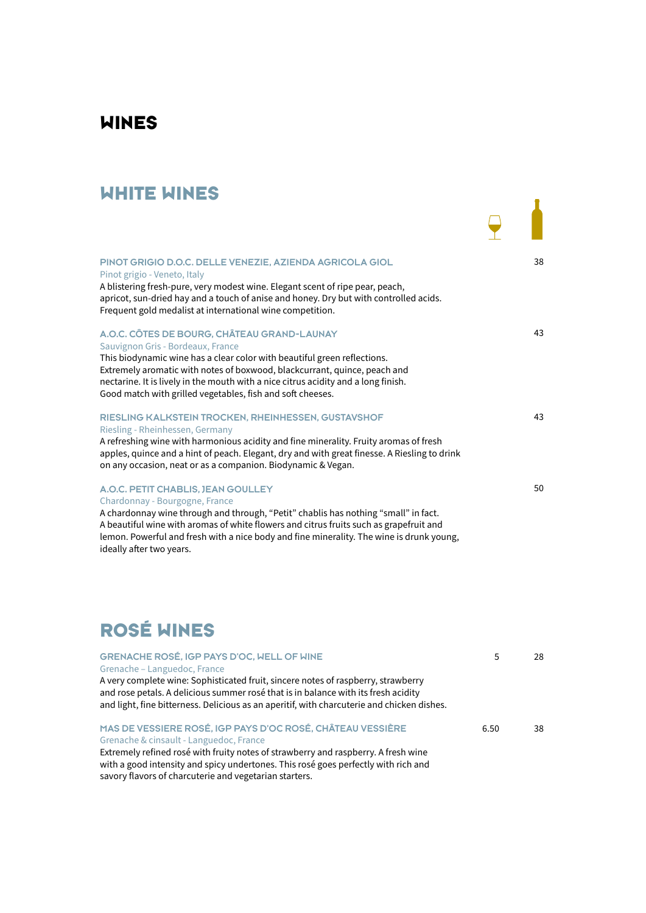## **WINES**

### **WHITE WINES**

| АПШЕ АШЕ                                                                                                                                                                                                                                                                                                                                                                                      |    |
|-----------------------------------------------------------------------------------------------------------------------------------------------------------------------------------------------------------------------------------------------------------------------------------------------------------------------------------------------------------------------------------------------|----|
| PINOT GRIGIO D.O.C. DELLE VENEZIE. AZIENDA AGRICOLA GIOL<br>Pinot grigio - Veneto, Italy<br>A blistering fresh-pure, very modest wine. Elegant scent of ripe pear, peach,<br>apricot, sun-dried hay and a touch of anise and honey. Dry but with controlled acids.<br>Frequent gold medalist at international wine competition.                                                               | 38 |
| A.O.C. CÔTES DE BOURG, CHÂTEAU GRAND-LAUNAY<br>Sauvignon Gris - Bordeaux, France<br>This biodynamic wine has a clear color with beautiful green reflections.<br>Extremely aromatic with notes of boxwood, blackcurrant, quince, peach and<br>nectarine. It is lively in the mouth with a nice citrus acidity and a long finish.<br>Good match with grilled vegetables, fish and soft cheeses. | 43 |
| RIESLING KALKSTEIN TROCKEN, RHEINHESSEN, GUSTAVSHOF<br>Riesling - Rheinhessen, Germany<br>A refreshing wine with harmonious acidity and fine minerality. Fruity aromas of fresh<br>apples, quince and a hint of peach. Elegant, dry and with great finesse. A Riesling to drink<br>on any occasion, neat or as a companion. Biodynamic & Vegan.                                               | 43 |
| A.O.C. PETIT CHABLIS, JEAN GOULLEY<br>Chardonnay - Bourgogne, France<br>A chardonnay wine through and through, "Petit" chablis has nothing "small" in fact.<br>A beautiful wine with aromas of white flowers and citrus fruits such as grapefruit and<br>lemon. Powerful and fresh with a nice body and fine minerality. The wine is drunk young,<br>ideally after two years.                 | 50 |

# **ROSÉ WINES**

| GRENACHE ROSÉ, IGP PAYS D'OC, WELL OF WINE                                                                                                                                                                                                                            |      | 28. |
|-----------------------------------------------------------------------------------------------------------------------------------------------------------------------------------------------------------------------------------------------------------------------|------|-----|
| Grenache – Languedoc, France                                                                                                                                                                                                                                          |      |     |
| A very complete wine: Sophisticated fruit, sincere notes of raspberry, strawberry<br>and rose petals. A delicious summer rosé that is in balance with its fresh acidity<br>and light, fine bitterness. Delicious as an aperitif, with charcuterie and chicken dishes. |      |     |
| MAS DE VESSIERE ROSÉ, IGP PAYS D'OC ROSÉ, CHÂTEAU VESSIÈRE<br>Grenache & cinsault - Languedoc, France                                                                                                                                                                 | 6.50 | 38  |
| Extremely refined rosé with fruity notes of strawberry and raspberry. A fresh wine                                                                                                                                                                                    |      |     |

with a good intensity and spicy undertones. This rosé goes perfectly with rich and savory flavors of charcuterie and vegetarian starters.